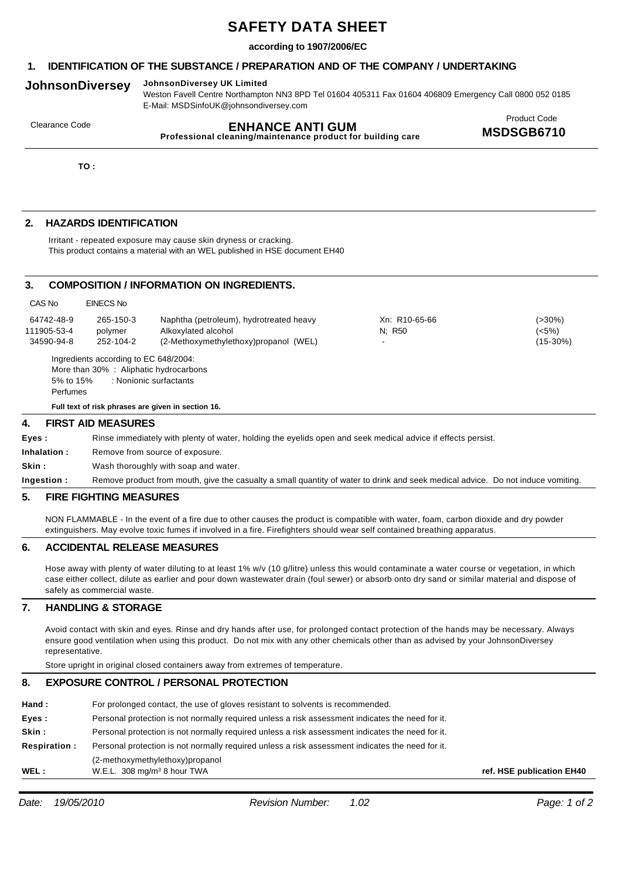# **SAFETY DATA SHEET**

## **according to 1907/2006/EC**

# **1. IDENTIFICATION OF THE SUBSTANCE / PREPARATION AND OF THE COMPANY / UNDERTAKING**

# **JohnsonDiversey JohnsonDiversey UK Limited**

Weston Favell Centre Northampton NN3 8PD Tel 01604 405311 Fax 01604 406809 Emergency Call 0800 052 0185 E-Mail: MSDSinfoUK@johnsondiversey.com

| Clearance Code | <b>ENHANCE ANTI GUM</b><br>Professional cleaning/maintenance product for building care | <b>Product Code</b><br>MSDSGB6710 |
|----------------|----------------------------------------------------------------------------------------|-----------------------------------|
| т∩.            |                                                                                        |                                   |

**TO :**

## **2. HAZARDS IDENTIFICATION**

Irritant - repeated exposure may cause skin dryness or cracking. This product contains a material with an WEL published in HSE document EH40

## **3. COMPOSITION / INFORMATION ON INGREDIENTS.**

| CAS No                                  | <b>EINECS No</b>                                                                |                                                                                                                                  |                            |                                    |
|-----------------------------------------|---------------------------------------------------------------------------------|----------------------------------------------------------------------------------------------------------------------------------|----------------------------|------------------------------------|
| 64742-48-9<br>111905-53-4<br>34590-94-8 | 265-150-3<br>polymer<br>252-104-2                                               | Naphtha (petroleum), hydrotreated heavy<br>Alkoxylated alcohol<br>(2-Methoxymethylethoxy)propanol (WEL)                          | Xn: R10-65-66<br>$N$ ; R50 | $( > 30\%)$<br>(<5%)<br>$(15-30%)$ |
| 5% to 15%                               | Ingredients according to EC 648/2004:<br>More than 30% : Aliphatic hydrocarbons | : Nonionic surfactants                                                                                                           |                            |                                    |
| Perfumes                                |                                                                                 |                                                                                                                                  |                            |                                    |
|                                         |                                                                                 | Full text of risk phrases are given in section 16.                                                                               |                            |                                    |
| 4.                                      | <b>FIRST AID MEASURES</b>                                                       |                                                                                                                                  |                            |                                    |
| Eyes:                                   |                                                                                 | Rinse immediately with plenty of water, holding the eyelids open and seek medical advice if effects persist.                     |                            |                                    |
| Inhalation :                            |                                                                                 | Remove from source of exposure.                                                                                                  |                            |                                    |
| Skin :                                  |                                                                                 | Wash thoroughly with soap and water.                                                                                             |                            |                                    |
| Ingestion :                             |                                                                                 | Remove product from mouth, give the casualty a small quantity of water to drink and seek medical advice. Do not induce vomiting. |                            |                                    |

#### **5. FIRE FIGHTING MEASURES**

NON FLAMMABLE - In the event of a fire due to other causes the product is compatible with water, foam, carbon dioxide and dry powder extinguishers. May evolve toxic fumes if involved in a fire. Firefighters should wear self contained breathing apparatus.

## **6. ACCIDENTAL RELEASE MEASURES**

Hose away with plenty of water diluting to at least 1% w/v (10 g/litre) unless this would contaminate a water course or vegetation, in which case either collect, dilute as earlier and pour down wastewater drain (foul sewer) or absorb onto dry sand or similar material and dispose of safely as commercial waste.

## **7. HANDLING & STORAGE**

Avoid contact with skin and eyes. Rinse and dry hands after use, for prolonged contact protection of the hands may be necessary. Always ensure good ventilation when using this product. Do not mix with any other chemicals other than as advised by your JohnsonDiversey representative.

Store upright in original closed containers away from extremes of temperature.

# **8. EXPOSURE CONTROL / PERSONAL PROTECTION**

| WEL :               | (2-methoxymethylethoxy)propanol<br>W.E.L. 308 mg/m <sup>3</sup> 8 hour TWA                       | ref. HSE publication EH40 |
|---------------------|--------------------------------------------------------------------------------------------------|---------------------------|
| <b>Respiration:</b> | Personal protection is not normally required unless a risk assessment indicates the need for it. |                           |
| Skin :              | Personal protection is not normally required unless a risk assessment indicates the need for it. |                           |
| Eyes:               | Personal protection is not normally required unless a risk assessment indicates the need for it. |                           |
| Hand :              | For prolonged contact, the use of gloves resistant to solvents is recommended.                   |                           |
|                     |                                                                                                  |                           |